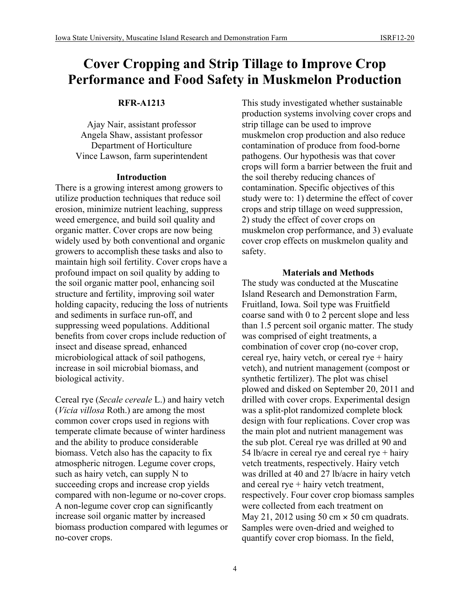# **Cover Cropping and Strip Tillage to Improve Crop Performance and Food Safety in Muskmelon Production**

# **RFR-A1213**

Ajay Nair, assistant professor Angela Shaw, assistant professor Department of Horticulture Vince Lawson, farm superintendent

## **Introduction**

There is a growing interest among growers to utilize production techniques that reduce soil erosion, minimize nutrient leaching, suppress weed emergence, and build soil quality and organic matter. Cover crops are now being widely used by both conventional and organic growers to accomplish these tasks and also to maintain high soil fertility. Cover crops have a profound impact on soil quality by adding to the soil organic matter pool, enhancing soil structure and fertility, improving soil water holding capacity, reducing the loss of nutrients and sediments in surface run-off, and suppressing weed populations. Additional benefits from cover crops include reduction of insect and disease spread, enhanced microbiological attack of soil pathogens, increase in soil microbial biomass, and biological activity.

Cereal rye (*Secale cereale* L.) and hairy vetch (*Vicia villosa* Roth.) are among the most common cover crops used in regions with temperate climate because of winter hardiness and the ability to produce considerable biomass. Vetch also has the capacity to fix atmospheric nitrogen. Legume cover crops, such as hairy vetch, can supply N to succeeding crops and increase crop yields compared with non-legume or no-cover crops. A non-legume cover crop can significantly increase soil organic matter by increased biomass production compared with legumes or no-cover crops.

This study investigated whether sustainable production systems involving cover crops and strip tillage can be used to improve muskmelon crop production and also reduce contamination of produce from food-borne pathogens. Our hypothesis was that cover crops will form a barrier between the fruit and the soil thereby reducing chances of contamination. Specific objectives of this study were to: 1) determine the effect of cover crops and strip tillage on weed suppression, 2) study the effect of cover crops on muskmelon crop performance, and 3) evaluate cover crop effects on muskmelon quality and safety.

# **Materials and Methods**

The study was conducted at the Muscatine Island Research and Demonstration Farm, Fruitland, Iowa. Soil type was Fruitfield coarse sand with 0 to 2 percent slope and less than 1.5 percent soil organic matter. The study was comprised of eight treatments, a combination of cover crop (no-cover crop, cereal rye, hairy vetch, or cereal rye + hairy vetch), and nutrient management (compost or synthetic fertilizer). The plot was chisel plowed and disked on September 20, 2011 and drilled with cover crops. Experimental design was a split-plot randomized complete block design with four replications. Cover crop was the main plot and nutrient management was the sub plot. Cereal rye was drilled at 90 and 54 lb/acre in cereal rye and cereal rye + hairy vetch treatments, respectively. Hairy vetch was drilled at 40 and 27 lb/acre in hairy vetch and cereal rye + hairy vetch treatment, respectively. Four cover crop biomass samples were collected from each treatment on May 21, 2012 using 50 cm  $\times$  50 cm quadrats. Samples were oven-dried and weighed to quantify cover crop biomass. In the field,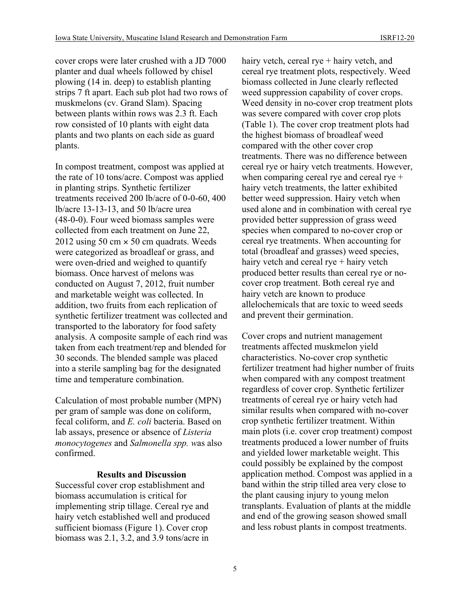cover crops were later crushed with a JD 7000 planter and dual wheels followed by chisel plowing (14 in. deep) to establish planting strips 7 ft apart. Each sub plot had two rows of muskmelons (cv. Grand Slam). Spacing between plants within rows was 2.3 ft. Each row consisted of 10 plants with eight data plants and two plants on each side as guard plants.

In compost treatment, compost was applied at the rate of 10 tons/acre. Compost was applied in planting strips. Synthetic fertilizer treatments received 200 lb/acre of 0-0-60, 400 lb/acre 13-13-13, and 50 lb/acre urea (48-0-0). Four weed biomass samples were collected from each treatment on June 22, 2012 using 50 cm  $\times$  50 cm quadrats. Weeds were categorized as broadleaf or grass, and were oven-dried and weighed to quantify biomass. Once harvest of melons was conducted on August 7, 2012, fruit number and marketable weight was collected. In addition, two fruits from each replication of synthetic fertilizer treatment was collected and transported to the laboratory for food safety analysis. A composite sample of each rind was taken from each treatment/rep and blended for 30 seconds. The blended sample was placed into a sterile sampling bag for the designated time and temperature combination.

Calculation of most probable number (MPN) per gram of sample was done on coliform, fecal coliform, and *E. coli* bacteria. Based on lab assays, presence or absence of *Listeria monocytogenes* and *Salmonella spp. w*as also confirmed.

## **Results and Discussion**

Successful cover crop establishment and biomass accumulation is critical for implementing strip tillage. Cereal rye and hairy vetch established well and produced sufficient biomass (Figure 1). Cover crop biomass was 2.1, 3.2, and 3.9 tons/acre in

hairy vetch, cereal rye + hairy vetch, and cereal rye treatment plots, respectively. Weed biomass collected in June clearly reflected weed suppression capability of cover crops. Weed density in no-cover crop treatment plots was severe compared with cover crop plots (Table 1). The cover crop treatment plots had the highest biomass of broadleaf weed compared with the other cover crop treatments. There was no difference between cereal rye or hairy vetch treatments. However, when comparing cereal rye and cereal rye + hairy vetch treatments, the latter exhibited better weed suppression. Hairy vetch when used alone and in combination with cereal rye provided better suppression of grass weed species when compared to no-cover crop or cereal rye treatments. When accounting for total (broadleaf and grasses) weed species, hairy vetch and cereal rye + hairy vetch produced better results than cereal rye or nocover crop treatment. Both cereal rye and hairy vetch are known to produce allelochemicals that are toxic to weed seeds and prevent their germination.

Cover crops and nutrient management treatments affected muskmelon yield characteristics. No-cover crop synthetic fertilizer treatment had higher number of fruits when compared with any compost treatment regardless of cover crop. Synthetic fertilizer treatments of cereal rye or hairy vetch had similar results when compared with no-cover crop synthetic fertilizer treatment. Within main plots (i.e. cover crop treatment) compost treatments produced a lower number of fruits and yielded lower marketable weight. This could possibly be explained by the compost application method. Compost was applied in a band within the strip tilled area very close to the plant causing injury to young melon transplants. Evaluation of plants at the middle and end of the growing season showed small and less robust plants in compost treatments.

5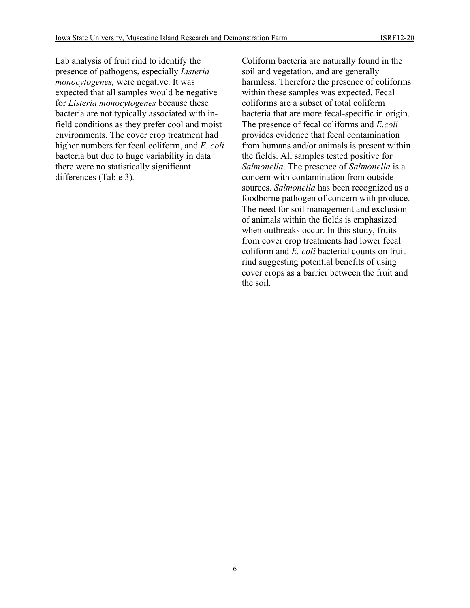Lab analysis of fruit rind to identify the presence of pathogens, especially *Listeria monocytogenes,* were negative. It was expected that all samples would be negative for *Listeria monocytogenes* because these bacteria are not typically associated with infield conditions as they prefer cool and moist environments. The cover crop treatment had higher numbers for fecal coliform, and *E. coli* bacteria but due to huge variability in data there were no statistically significant differences (Table 3)*.* 

Coliform bacteria are naturally found in the soil and vegetation, and are generally harmless. Therefore the presence of coliforms within these samples was expected. Fecal coliforms are a subset of total coliform bacteria that are more fecal-specific in origin. The presence of fecal coliforms and *E.coli*  provides evidence that fecal contamination from humans and/or animals is present within the fields. All samples tested positive for *Salmonella*. The presence of *Salmonella* is a concern with contamination from outside sources. *Salmonella* has been recognized as a foodborne pathogen of concern with produce. The need for soil management and exclusion of animals within the fields is emphasized when outbreaks occur. In this study, fruits from cover crop treatments had lower fecal coliform and *E. coli* bacterial counts on fruit rind suggesting potential benefits of using cover crops as a barrier between the fruit and the soil.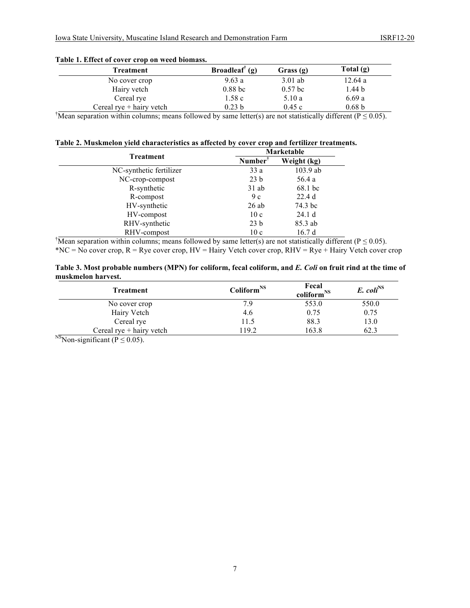| <b>Treatment</b>           | Broadleaf <sup><math>\bar{f}(g)</math></sup> | Grass $(g)$ | Total $(g)$       |
|----------------------------|----------------------------------------------|-------------|-------------------|
| No cover crop              | 9.63a                                        | $3.01$ ab   | 12.64a            |
| Hairy vetch                | $0.88$ bc                                    | $0.57$ bc   | 1.44 <sub>b</sub> |
| Cereal rye                 | 1.58c                                        | 5.10 a      | 6.69a             |
| Cereal $rve + hairv$ vetch | 0.23 <sub>b</sub>                            | 0.45c       | 0.68 <sub>b</sub> |

#### **Table 1. Effect of cover crop on weed biomass.**

 $\sqrt{T}$ Mean separation within columns; means followed by same letter(s) are not statistically different (P  $\leq$  0.05).

### **Table 2. Muskmelon yield characteristics as affected by cover crop and fertilizer treatments.**

|                         | Marketable          |             |  |
|-------------------------|---------------------|-------------|--|
| <b>Treatment</b>        | Number <sup>†</sup> | Weight (kg) |  |
| NC-synthetic fertilizer | 33 a                | $103.9$ ab  |  |
| NC-crop-compost         | 23 <sub>b</sub>     | 56.4 a      |  |
| R-synthetic             | $31$ ab             | 68.1 bc     |  |
| R-compost               | 9c                  | 22.4d       |  |
| HV-synthetic            | 26ab                | 74.3 bc     |  |
| HV-compost              | 10c                 | 24.1 d      |  |
| RHV-synthetic           | 23 <sub>b</sub>     | 85.3 ab     |  |
| RHV-compost             | 10c                 | 16.7d       |  |

 $\sqrt{T}$ Mean separation within columns; means followed by same letter(s) are not statistically different (P  $\leq$  0.05).  $*NC = No$  cover crop,  $R = Rye$  cover crop,  $HV = Hairy$  Vetch cover crop,  $RHV = Rye + Hairy$  Vetch cover crop

#### **Table 3. Most probable numbers (MPN) for coliform, fecal coliform, and** *E. Coli* **on fruit rind at the time of muskmelon harvest.**

| Treatment                             | Coliform <sup>NS</sup> | Fecal<br>coliform <sup>NS</sup> | $E.$ coli <sup>NS</sup> |
|---------------------------------------|------------------------|---------------------------------|-------------------------|
| No cover crop                         | 7.9                    | 553.0                           | 550.0                   |
| Hairy Vetch                           | 4.6                    | 0.75                            | 0.75                    |
| Cereal rye                            | 11.5                   | 88.3                            | 13.0                    |
| Cereal $rye + hairy$ vetch<br>$-1.77$ | 19.2                   | 163.8                           | 62.3                    |

 $^{NS}$ Non-significant (P  $\leq$  0.05).